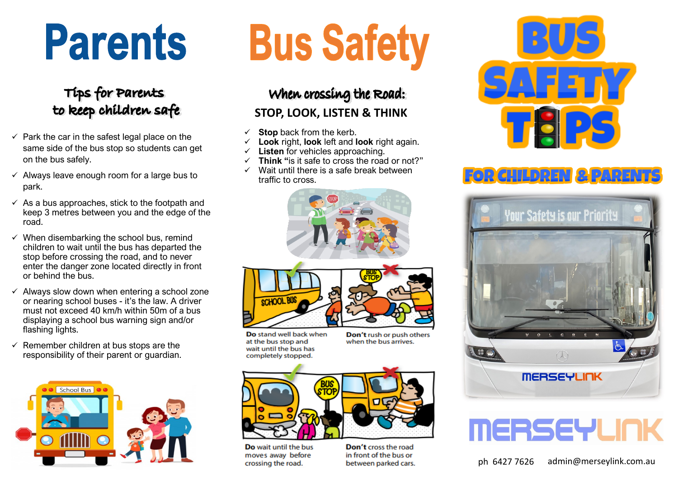## **Parents**

#### Tips for Parents to keep children safe

- $\checkmark$  Park the car in the safest legal place on the same side of the bus stop so students can get on the bus safely.
- $\checkmark$  Always leave enough room for a large bus to park.
- $\checkmark$  As a bus approaches, stick to the footpath and keep 3 metres between you and the edge of the road.
- $\checkmark$  When disembarking the school bus, remind children to wait until the bus has departed the stop before crossing the road, and to never enter the danger zone located directly in front or behind the bus.
- $\checkmark$  Always slow down when entering a school zone or nearing school buses - it's the law. A driver must not exceed 40 km/h within 50m of a bus displaying a school bus warning sign and/or flashing lights.
- $\checkmark$  Remember children at bus stops are the responsibility of their parent or guardian.



# **Bus Safety**

#### When crossing the Road: **STOP, LOOK, LISTEN & THINK**

- **Stop** back from the kerb.
- **Look** right, **look** left and **look** right again.
- Listen for vehicles approaching.
- ✓ **Think "**is it safe to cross the road or not?"
- ✓ Wait until there is a safe break between traffic to cross.





- Do stand well back when at the bus stop and wait until the bus has completely stopped.
- Don't rush or push others when the bus arrives.



Do wait until the bus moves away before crossing the road.





### **FOR GHILDREN & PARENTS**





ph 6427 7626 admin@merseylink.com.au